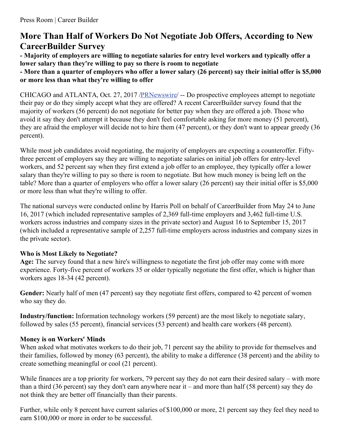# **More Than Half of Workers Do Not Negotiate Job Offers, According to New CareerBuilder Survey**

**- Majority of employers are willing to negotiate salaries for entry level workers and typically offer a lower salary than they're willing to pay so there is room to negotiate**

- More than a quarter of employers who offer a lower salary (26 percent) say their initial offer is \$5,000 **or more less than what they're willing to offer**

CHICAGO and ATLANTA, Oct. 27, 2017 [/PRNewswire](http://www.prnewswire.com/)/ -- Do prospective employees attempt to negotiate their pay or do they simply accept what they are offered? A recent CareerBuilder survey found that the majority of workers (56 percent) do not negotiate for better pay when they are offered a job. Those who avoid it say they don't attempt it because they don't feel comfortable asking for more money (51 percent), they are afraid the employer will decide not to hire them (47 percent), or they don't want to appear greedy (36 percent).

While most job candidates avoid negotiating, the majority of employers are expecting a counteroffer. Fiftythree percent of employers say they are willing to negotiate salaries on initial job offers for entry-level workers, and 52 percent say when they first extend a job offer to an employee, they typically offer a lower salary than they're willing to pay so there is room to negotiate. But how much money is being left on the table? More than a quarter of employers who offer a lower salary (26 percent) say their initial offer is \$5,000 or more less than what they're willing to offer.

The national surveys were conducted online by Harris Poll on behalf of CareerBuilder from May 24 to June 16, 2017 (which included representative samples of 2,369 full-time employers and 3,462 full-time U.S. workers across industries and company sizes in the private sector) and August 16 to September 15, 2017 (which included a representative sample of 2,257 full-time employers across industries and company sizes in the private sector).

## **Who is Most Likely to Negotiate?**

**Age:** The survey found that a new hire's willingness to negotiate the first job offer may come with more experience. Forty-five percent of workers 35 or older typically negotiate the first offer, which is higher than workers ages 18-34 (42 percent).

Gender: Nearly half of men (47 percent) say they negotiate first offers, compared to 42 percent of women who say they do.

**Industry/function:** Information technology workers (59 percent) are the most likely to negotiate salary, followed by sales (55 percent), financial services (53 percent) and health care workers (48 percent).

#### **Money is on Workers' Minds**

When asked what motivates workers to do their job, 71 percent say the ability to provide for themselves and their families, followed by money (63 percent), the ability to make a difference (38 percent) and the ability to create something meaningful or cool (21 percent).

While finances are a top priority for workers, 79 percent say they do not earn their desired salary – with more than a third (36 percent) say they don't earn anywhere near it – and more than half (58 percent) say they do not think they are better off financially than their parents.

Further, while only 8 percent have current salaries of \$100,000 or more, 21 percent say they feel they need to earn \$100,000 or more in order to be successful.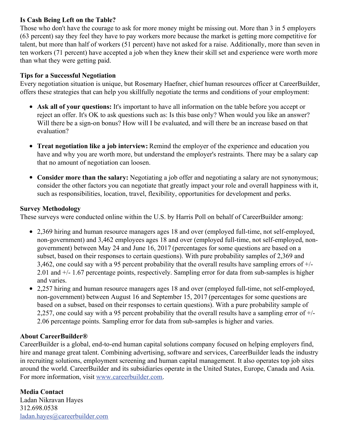### **Is Cash Being Left on the Table?**

Those who don't have the courage to ask for more money might be missing out. More than 3 in 5 employers (63 percent) say they feel they have to pay workers more because the market is getting more competitive for talent, but more than half of workers (51 percent) have not asked for a raise. Additionally, more than seven in ten workers (71 percent) have accepted a job when they knew their skill set and experience were worth more than what they were getting paid.

#### **Tips for a Successful Negotiation**

Every negotiation situation is unique, but Rosemary Haefner, chief human resources officer at CareerBuilder, offers these strategies that can help you skillfully negotiate the terms and conditions of your employment:

- **Ask all of your questions:** It's important to have all information on the table before you accept or reject an offer. It's OK to ask questions such as: Is this base only? When would you like an answer? Will there be a sign-on bonus? How will I be evaluated, and will there be an increase based on that evaluation?
- **Treat negotiation like a job interview:** Remind the employer of the experience and education you have and why you are worth more, but understand the employer's restraints. There may be a salary cap that no amount of negotiation can loosen.
- **Consider more than the salary:** Negotiating a job offer and negotiating a salary are not synonymous; consider the other factors you can negotiate that greatly impact your role and overall happiness with it, such as responsibilities, location, travel, flexibility, opportunities for development and perks.

#### **Survey Methodology**

These surveys were conducted online within the U.S. by Harris Poll on behalf of CareerBuilder among:

- 2,369 hiring and human resource managers ages 18 and over (employed full-time, not self-employed, non-government) and 3,462 employees ages 18 and over (employed full-time, not self-employed, nongovernment) between May 24 and June 16, 2017 (percentages for some questions are based on a subset, based on their responses to certain questions). With pure probability samples of 2,369 and 3,462, one could say with a 95 percent probability that the overall results have sampling errors of +/- 2.01 and +/- 1.67 percentage points, respectively. Sampling error for data from sub-samples is higher and varies.
- 2,257 hiring and human resource managers ages 18 and over (employed full-time, not self-employed, non-government) between August 16 and September 15, 2017 (percentages for some questions are based on a subset, based on their responses to certain questions). With a pure probability sample of 2,257, one could say with a 95 percent probability that the overall results have a sampling error of  $+/-$ 2.06 percentage points. Sampling error for data from sub-samples is higher and varies.

## **About CareerBuilder®**

CareerBuilder is a global, end-to-end human capital solutions company focused on helping employers find, hire and manage great talent. Combining advertising, software and services, CareerBuilder leads the industry in recruiting solutions, employment screening and human capital management. It also operates top job sites around the world. CareerBuilder and its subsidiaries operate in the United States, Europe, Canada and Asia. For more information, visit [www.careerbuilder.com](http://www.careerbuilder.com/).

**Media Contact** Ladan Nikravan Hayes 312.698.0538 [ladan.hayes@careerbuilder.com](mailto:ladan.hayes@careerbuilder.com)